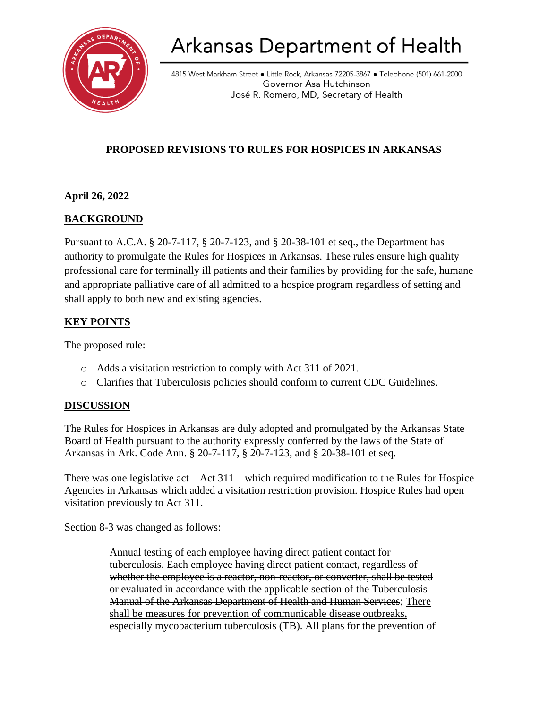

# **Arkansas Department of Health**

4815 West Markham Street • Little Rock, Arkansas 72205-3867 • Telephone (501) 661-2000 Governor Asa Hutchinson José R. Romero, MD, Secretary of Health

## **PROPOSED REVISIONS TO RULES FOR HOSPICES IN ARKANSAS**

#### **April 26, 2022**

## **BACKGROUND**

Pursuant to A.C.A. § 20-7-117, § 20-7-123, and § 20-38-101 et seq., the Department has authority to promulgate the Rules for Hospices in Arkansas. These rules ensure high quality professional care for terminally ill patients and their families by providing for the safe, humane and appropriate palliative care of all admitted to a hospice program regardless of setting and shall apply to both new and existing agencies.

### **KEY POINTS**

The proposed rule:

- o Adds a visitation restriction to comply with Act 311 of 2021.
- o Clarifies that Tuberculosis policies should conform to current CDC Guidelines.

#### **DISCUSSION**

The Rules for Hospices in Arkansas are duly adopted and promulgated by the Arkansas State Board of Health pursuant to the authority expressly conferred by the laws of the State of Arkansas in Ark. Code Ann. § 20-7-117, § 20-7-123, and § 20-38-101 et seq.

There was one legislative act  $-$  Act 311 – which required modification to the Rules for Hospice Agencies in Arkansas which added a visitation restriction provision. Hospice Rules had open visitation previously to Act 311.

Section 8-3 was changed as follows:

Annual testing of each employee having direct patient contact for tuberculosis. Each employee having direct patient contact, regardless of whether the employee is a reactor, non-reactor, or converter, shall be tested or evaluated in accordance with the applicable section of the Tuberculosis Manual of the Arkansas Department of Health and Human Services; There shall be measures for prevention of communicable disease outbreaks, especially mycobacterium tuberculosis (TB). All plans for the prevention of